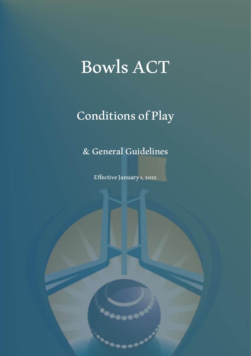# Bowls ACT

# Conditions of Play

& General Guidelines

Effective January 1, 2022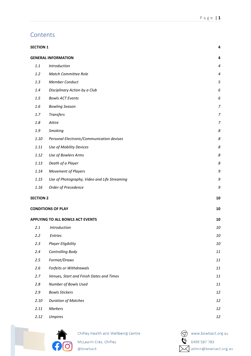# **Contents**

| <b>SECTION 1</b>                             |         |
|----------------------------------------------|---------|
| <b>GENERAL INFORMATION</b>                   | 4       |
| Introduction                                 | 4       |
| Match Committee Role                         | 4       |
| <b>Member Conduct</b>                        | 5       |
| Disciplinary Action by a Club                | 6       |
| <b>Bowls ACT Events</b>                      | 6       |
| <b>Bowling Season</b>                        | 7       |
| <b>Transfers</b>                             | 7       |
| Attire                                       | 7       |
| Smoking                                      | 8       |
| Personal Electronic/Communication devises    | $\it 8$ |
| Use of Mobility Devices                      | 8       |
| Use of Bowlers Arms                          | $\it 8$ |
| Death of a Player                            | 8       |
| Movement of Players                          | 9       |
| Use of Photography, Video and Life Streaming | 9       |
| Order of Precedence                          | 9       |
| <b>SECTION 2</b>                             | 10      |
| <b>CONDITIONS OF PLAY</b>                    | 10      |
| <b>APPLYING TO ALL BOWLS ACT EVENTS</b>      | 10      |
| Introduction                                 | 10      |
| Entries                                      | 10      |
| Player Eligibility                           | 10      |
| Controlling Body                             | 11      |
| Format/Draws                                 | $11\,$  |
| Forfeits or Withdrawals                      | $11\,$  |
| Venues, Start and Finish Dates and Times     | $11\,$  |
| Number of Bowls Used                         | $11\,$  |
| <b>Bowls Stickers</b>                        | 12      |
| <b>Duration of Matches</b>                   | 12      |
| Markers                                      | 12      |
| <b>Umpires</b>                               | 12      |
|                                              |         |



Chifley Health and Wellbeing Centre McLaurin Cres, Chifley @bowlsact

www.bowlsact.org.au  $\ddot{0}$  0499 587 783 Madmin@bowlsact.org.au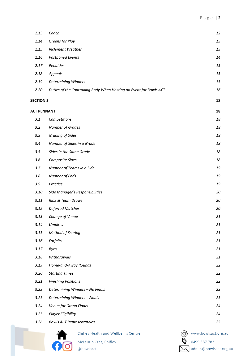| 2.13               | Coach                                                              |  | 12                    |
|--------------------|--------------------------------------------------------------------|--|-----------------------|
| 2.14               | Greens for Play                                                    |  | 13                    |
| 2.15               | Inclement Weather                                                  |  | 13                    |
| 2.16               | Postponed Events                                                   |  | 14                    |
| 2.17               | Penalties                                                          |  | 15                    |
| 2.18               | Appeals                                                            |  | 15                    |
| 2.19               | <b>Determining Winners</b>                                         |  | 15                    |
| 2.20               | Duties of the Controlling Body When Hosting an Event for Bowls ACT |  | 16                    |
| <b>SECTION 3</b>   |                                                                    |  | 18                    |
| <b>ACT PENNANT</b> |                                                                    |  | 18                    |
| 3.1                | Competitions                                                       |  | 18                    |
| 3.2                | Number of Grades                                                   |  | 18                    |
| 3.3                | Grading of Sides                                                   |  | 18                    |
| 3.4                | Number of Sides in a Grade                                         |  | 18                    |
| 3.5                | Sides in the Same Grade                                            |  | 18                    |
| 3.6                | Composite Sides                                                    |  | 18                    |
| 3.7                | Number of Teams in a Side                                          |  | 19                    |
| 3.8                | Number of Ends                                                     |  | 19                    |
| 3.9                | Practice                                                           |  | 19                    |
| 3.10               | Side Manager's Responsibilities                                    |  | 20                    |
| 3.11               | Rink & Team Draws                                                  |  | 20                    |
| 3.12               | <b>Deferred Matches</b>                                            |  | 20                    |
| 3.13               | Change of Venue                                                    |  | 21                    |
| 3.14               | <b>Umpires</b>                                                     |  | 21                    |
| 3.15               | Method of Scoring                                                  |  | 21                    |
| 3.16               | Forfeits                                                           |  | 21                    |
| 3.17               | <b>Byes</b>                                                        |  | 21                    |
| 3.18               | Withdrawals                                                        |  | 21                    |
| 3.19               | Home-and-Away Rounds                                               |  | 22                    |
| 3.20               | <b>Starting Times</b>                                              |  | 22                    |
| 3.21               | <b>Finishing Positions</b>                                         |  | 22                    |
| 3.22               | Determining Winners - No Finals                                    |  | 23                    |
| 3.23               | Determining Winners - Finals                                       |  | 23                    |
| 3.24               | Venue for Grand Finals                                             |  | 24                    |
| 3.25               | <b>Player Eligibility</b>                                          |  | 24                    |
| 3.26               | <b>Bowls ACT Representatives</b>                                   |  | 25                    |
|                    | Chifley Health and Wellbeing Centre                                |  | www.bowlsact.org.au   |
|                    | McLaurin Cres, Chifley                                             |  | 0499 587 783          |
|                    | @bowlsact                                                          |  | admin@bowlsact.org.au |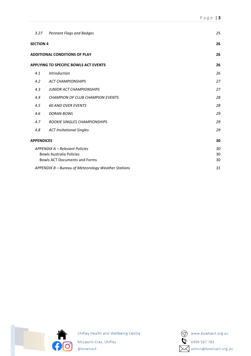| 3.27              | <b>Pennant Flags and Badges</b>                                                                           | 25             |
|-------------------|-----------------------------------------------------------------------------------------------------------|----------------|
| <b>SECTION 4</b>  |                                                                                                           | 26             |
|                   | <b>ADDITIONAL CONDITIONS OF PLAY</b>                                                                      | 26             |
|                   | <b>APPLYING TO SPECIFIC BOWLS ACT EVENTS</b>                                                              | 26             |
| 4.1               | <b>Introduction</b>                                                                                       | 26             |
| 4.2               | <b>ACT CHAMPIONSHIPS</b>                                                                                  | 27             |
| 4.3               | <b>JUNIOR ACT CHAMPIONSHIPS</b>                                                                           | 27             |
| 4.4               | <b>CHAMPION OF CLUB CHAMPION EVENTS</b>                                                                   | 28             |
| 4.5               | <b>60 AND OVER EVENTS</b>                                                                                 | 28             |
| 4.6               | <b>DORAN BOWL</b>                                                                                         | 29             |
| 4.7               | <b>ROOKIE SINGLES CHAMPIONSHIPS</b>                                                                       | 29             |
| 4.8               | <b>ACT Invitational Singles</b>                                                                           | 29             |
| <b>APPENDICES</b> |                                                                                                           | 30             |
|                   | APPENDIX A - Relevant Policies<br><b>Bowls Australia Policies</b><br><b>Bowls ACT Documents and Forms</b> | 30<br>30<br>30 |
|                   | APPENDIX B - Bureau of Meteorology Weather Stations                                                       | 31             |



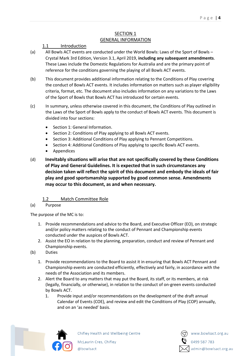#### SECTION 1 GENERAL INFORMATION

# <span id="page-4-0"></span>1.1 Introduction

- <span id="page-4-2"></span><span id="page-4-1"></span>(a) All Bowls ACT events are conducted under the World Bowls: Laws of the Sport of Bowls – Crystal Mark 3rd Edition, Version 3.1, April 2019, **including any subsequent amendments**. These Laws include the Domestic Regulations for Australia and are the primary point of reference for the conditions governing the playing of all Bowls ACT events.
- (b) This document provides additional information relating to the Conditions of Play covering the conduct of Bowls ACT events. It includes information on matters such as player eligibility criteria, format, etc. The document also includes information on any variations to the Laws of the Sport of Bowls that Bowls ACT has introduced for certain events.
- (c) In summary, unless otherwise covered in this document, the Conditions of Play outlined in the Laws of the Sport of Bowls apply to the conduct of Bowls ACT events. This document is divided into four sections:
	- Section 1: General Information.
	- Section 2: Conditions of Play applying to all Bowls ACT events.
	- Section 3: Additional Conditions of Play applying to Pennant Competitions.
	- Section 4: Additional Conditions of Play applying to specific Bowls ACT events.
	- **Appendices**
- (d) **Inevitably situations will arise that are not specifically covered by these Conditions of Play and General Guidelines. It is expected that in such circumstances any decision taken will reflect the spirit of this document and embody the ideals of fair play and good sportsmanship supported by good common sense. Amendments may occur to this document, as and when necessary.**

# Match Committee Role

<span id="page-4-3"></span>(a) Purpose

The purpose of the MC is to:

- 1. Provide recommendations and advice to the Board, and Executive Officer (EO), on strategic and/or policy matters relating to the conduct of Pennant and Championship events conducted under the auspices of Bowls ACT.
- 2. Assist the EO in relation to the planning, preparation, conduct and review of Pennant and Championship events.
- (b) Duties
	- 1. Provide recommendations to the Board to assist it in ensuring that Bowls ACT Pennant and Championship events are conducted efficiently, effectively and fairly, in accordance with the needs of the Association and its members.
	- 2. Alert the Board to any matters that may put the Board, its staff, or its members, at risk (legally, financially, or otherwise), in relation to the conduct of on-green events conducted by Bowls ACT.
		- 1. Provide input and/or recommendations on the development of the draft annual Calendar of Events (COE), and review and edit the Conditions of Play (COP) annually, and on an 'as needed' basis.



Chifley Health and Wellbeing Centre

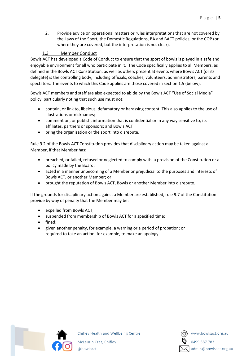2. Provide advice on operational matters or rules interpretations that are not covered by the Laws of the Sport, the Domestic Regulations, BA and BACT policies, or the COP (or where they are covered, but the interpretation is not clear).

# 1.3 Member Conduct

<span id="page-5-0"></span>Bowls ACT has developed a Code of Conduct to ensure that the sport of bowls is played in a safe and enjoyable environment for all who participate in it. The Code specifically applies to all Members, as defined in the Bowls ACT Constitution, as well as others present at events where Bowls ACT (or its delegate) is the controlling body, including officials, coaches, volunteers, administrators, parents and spectators. The events to which this Code applies are those covered in section 1.5 (below).

Bowls ACT members and staff are also expected to abide by the Bowls ACT "Use of Social Media" policy, particularly noting that such use must not:

- contain, or link to, libelous, defamatory or harassing content. This also applies to the use of illustrations or nicknames;
- comment on, or publish, information that is confidential or in any way sensitive to, its affiliates, partners or sponsors; and Bowls ACT
- bring the organisation or the sport into disrepute.

Rule 9.2 of the Bowls ACT Constitution provides that disciplinary action may be taken against a Member, if that Member has:

- breached, or failed, refused or neglected to comply with, a provision of the Constitution or a policy made by the Board;
- acted in a manner unbecoming of a Member or prejudicial to the purposes and interests of Bowls ACT, or another Member; or
- brought the reputation of Bowls ACT, Bowls or another Member into disrepute.

If the grounds for disciplinary action against a Member are established, rule 9.7 of the Constitution provide by way of penalty that the Member may be:

- expelled from Bowls ACT;
- suspended from membership of Bowls ACT for a specified time;
- fined;
- given another penalty, for example, a warning or a period of probation; or required to take an action, for example, to make an apology.



Chifley Health and Wellbeing Centre McLaurin Cres, Chifley

@bowlsact

admin@bowlsact.org.au

www.bowlsact.org.au

0499 587 783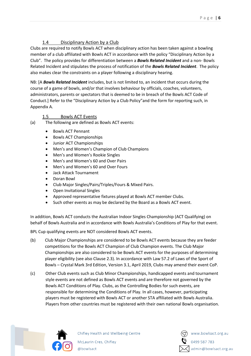# 1.4 Disciplinary Action by a Club

<span id="page-6-0"></span>Clubs are required to notify Bowls ACT when disciplinary action has been taken against a bowling member of a club affiliated with Bowls ACT in accordance with the policy "Disciplinary Action by a Club". The policy provides for differentiation between a *Bowls Related Incident* and a non- Bowls Related Incident and stipulates the process of notification of the *Bowls Related Incident*. The policy also makes clear the constraints on a player following a disciplinary hearing.

NB: [A *Bowls Related Incident* includes, but is not limited to, an incident that occurs during the course of a game of bowls, and/or that involves behaviour by officials, coaches, volunteers, administrators, parents or spectators that is deemed to be in breach of the Bowls ACT Code of Conduct.] Refer to the "Disciplinary Action by a Club Policy"and the form for reporting such, in Appendix A.

# 1.5 Bowls ACT Events

- <span id="page-6-1"></span>(a) The following are defined as Bowls ACT events:
	- Bowls ACT Pennant
	- Bowls ACT Championships
	- Junior ACT Championships
	- Men's and Women's Champion of Club Champions
	- Men's and Women's Rookie Singles
	- Men's and Women's 60 and Over Pairs
	- Men's and Women's 60 and Over Fours
	- Jack Attack Tournament
	- Doran Bowl
	- Club Major Singles/Pairs/Triples/Fours & Mixed Pairs.
	- Open Invitational Singles
	- Approved representative fixtures played at Bowls ACT member Clubs.
	- Such other events as may be declared by the Board as a Bowls ACT event.

In addition, Bowls ACT conducts the Australian Indoor Singles Championship (ACT Qualifying) on behalf of Bowls Australia and in accordance with Bowls Australia's Conditions of Play for that event.

BPL Cup qualifying events are NOT considered Bowls ACT events.

- (b) Club Major Championships are considered to be Bowls ACT events because they are feeder competitions for the Bowls ACT Champion of Club Champion events. The Club Major Championships are also considered to be Bowls ACT events for the purposes of determining player eligibility (see also Clause 2.3). In accordance with Law 57.2 of Laws of the Sport of Bowls – Crystal Mark 3rd Edition, Version 3.1, April 2019, Clubs may amend their event CoP.
- (c) Other Club events such as Club Minor Championships, handicapped events and tournament style events are not defined as Bowls ACT events and are therefore not governed by the Bowls ACT Conditions of Play. Clubs, as the Controlling Bodies for such events, are responsible for determining the Conditions of Play. In all cases, however, participating players must be registered with Bowls ACT or another STA affiliated with Bowls Australia. Players from other countries must be registered with their own national Bowls organisation.



![](_page_6_Picture_25.jpeg)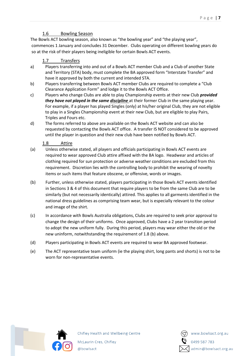# 1.6 Bowling Season

<span id="page-7-0"></span>The Bowls ACT bowling season, also known as "the bowling year" and "the playing year", commences 1 January and concludes 31 December. Clubs operating on different bowling years do so at the risk of their players being ineligible for certain Bowls ACT events.

# 1.7 Transfers

- <span id="page-7-1"></span>a) Players transferring into and out of a Bowls ACT member Club and a Club of another State and Territory (STA) body, must complete the BA approved form "Interstate Transfer" and have it approved by both the current and intended STA.
- b) Players transferring between Bowls ACT member Clubs are required to complete a "Club Clearance Application Form" and lodge it to the Bowls ACT Office.
- c) Players who change Clubs are able to play Championship events at their new Club *provided they have not played in the same discipline* at their former Club in the same playing year. For example, if a player has played Singles (only) at his/her original Club, they are not eligible to play in a Singles Championship event at their new Club, but are eligible to play Pairs, Triples and Fours etc.
- d) The forms referred to above are available on the Bowls ACT website and can also be requested by contacting the Bowls ACT office. A transfer IS NOT considered to be approved until the player in question and their new club have been notified by Bowls ACT.

# 1.8 Attire

- <span id="page-7-2"></span>(a) Unless otherwise stated, all players and officials participating in Bowls ACT events are required to wear approved Club attire affixed with the BA logo. Headwear and articles of clothing required for sun protection or adverse weather conditions are excluded from this requirement. Discretion lies with the controlling body to prohibit the wearing of novelty items or such items that feature obscene, or offensive, words or images.
- (b) Further, unless otherwise stated, players participating in those Bowls ACT events identified in Sections 3 & 4 of this document that require players to be from the same Club are to be similarly (but not necessarily identically) attired. This applies to all garments identified in the national dress guidelines as comprising team wear, but is especially relevant to the colour and image of the shirt.
- (c) In accordance with Bowls Australia obligations, Clubs are required to seek prior approval to change the design of their uniforms. Once approved, Clubs have a 2 year transition period to adopt the new uniform fully. During this period, players may wear either the old or the new uninform, notwithstanding the requirement of 1.8 (b) above.
- (d) Players participating in Bowls ACT events are required to wear BA approved footwear.
- (e) The ACT representative team uniform (ie the playing shirt, long pants and shorts) is not to be worn for non-representative events.

![](_page_7_Picture_14.jpeg)

![](_page_7_Picture_16.jpeg)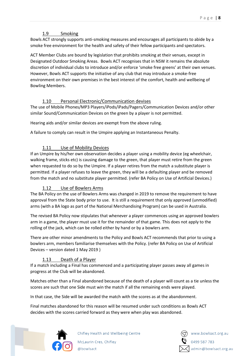# 1.9 Smoking

<span id="page-8-0"></span>Bowls ACT strongly supports anti-smoking measures and encourages all participants to abide by a smoke free environment for the health and safety of their fellow participants and spectators.

ACT Member Clubs are bound by legislation that prohibits smoking at their venues, except in Designated Outdoor Smoking Areas. Bowls ACT recognises that in NSW it remains the absolute discretion of individual clubs to introduce and/or enforce 'smoke free greens' at their own venues. However, Bowls ACT supports the initiative of any club that may introduce a smoke-free environment on their own premises in the best interest of the comfort, health and wellbeing of Bowling Members.

# 1.10 Personal Electronic/Communication devises

<span id="page-8-1"></span>The use of Mobile Phones/MP3 Players/iPods/iPads/Pagers/Communication Devices and/or other similar Sound/Communication Devices on the green by a player is not permitted.

Hearing aids and/or similar devices are exempt from the above ruling.

A failure to comply can result in the Umpire applying an Instantaneous Penalty.

# 1.11 Use of Mobility Devices

<span id="page-8-2"></span>If an Umpire by his/her own observation decides a player using a mobility device (eg wheelchair, walking frame, sticks etc) is causing damage to the green, that player must retire from the green when requested to do so by the Umpire. If a player retires from the match a substitute player is permitted. If a player refuses to leave the green, they will be a defaulting player and be removed from the match and no substitute player permitted. (refer BA Policy on Use of Artificial Devices.)

# 1.12 Use of Bowlers Arms

<span id="page-8-3"></span>The BA Policy on the use of Bowlers Arms was changed in 2019 to remove the requirement to have approval from the State body prior to use. It is still a requirement that only approved (unmodified) arms (with a BA logo as part of the National Merchandising Program) can be used in Australia.

The revised BA Policy now stipulates that whenever a player commences using an approved bowlers arm in a game, the player must use it for the remainder of that game. This does not apply to the rolling of the jack, which can be rolled either by hand or by a bowlers arm.

There are other minor amendments to the Policy and Bowls ACT recommends that prior to using a bowlers arm, members familiarise themselves with the Policy. (refer BA Policy on Use of Artificial Devices – version dated 1 May 2019 )

# 1.13 Death of a Player

<span id="page-8-4"></span>If a match including a Final has commenced and a participating player passes away all games in progress at the Club will be abandoned.

Matches other than a Final abandoned because of the death of a player will count as a tie unless the scores are such that one Side must win the match if all the remaining ends were played.

In that case, the Side will be awarded the match with the scores as at the abandonment.

Final matches abandoned for this reason will be resumed under such conditions as Bowls ACT decides with the scores carried forward as they were when play was abandoned.

![](_page_8_Picture_19.jpeg)

![](_page_8_Picture_21.jpeg)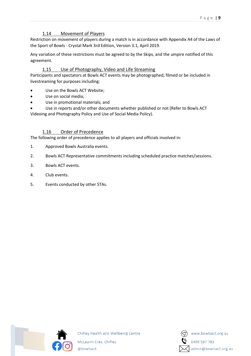# 1.14 Movement of Players

<span id="page-9-0"></span>Restriction on movement of players during a match is in accordance with Appendix A4 of the Laws of the Sport of Bowls - Crystal Mark 3rd Edition, Version 3.1, April 2019.

Any variation of these restrictions must be agreed to by the Skips, and the umpire notified of this agreement.

# 1.15 Use of Photography, Video and Life Streaming

<span id="page-9-1"></span>Participants and spectators at Bowls ACT events may be photographed, filmed or be included in livestreaming for purposes including:

- Use on the Bowls ACT Website;
- Use on social media;
- Use in promotional materials; and
- Use in reports and/or other documents whether published or not (Refer to Bowls ACT Videoing and Photography Policy and Use of Social Media Policy).

# 1.16 Order of Precedence

<span id="page-9-2"></span>The following order of precedence applies to all players and officials involved in:

- 1. Approved Bowls Australia events.
- 2. Bowls ACT Representative commitments including scheduled practice matches/sessions.
- 3. Bowls ACT events.
- 4. Club events.
- 5. Events conducted by other STAs.

![](_page_9_Picture_16.jpeg)

![](_page_9_Picture_18.jpeg)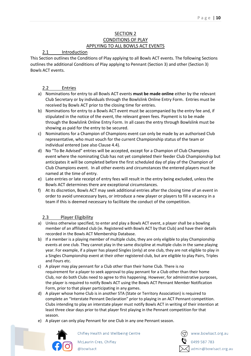# SECTION 2 CONDITIONS OF PLAY APPLYING TO ALL BOWLS ACT EVENTS

# <span id="page-10-1"></span><span id="page-10-0"></span>2.1 Introduction

<span id="page-10-3"></span><span id="page-10-2"></span>This Section outlines the Conditions of Play applying to all Bowls ACT events. The following Sections outlines the additional Conditions of Play applying to Pennant (Section 3) and other (Section 3) Bowls ACT events.

# 2.2 Entries

- <span id="page-10-4"></span>a) Nominations for entry to all Bowls ACT events **must be made online** either by the relevant Club Secretary or by individuals through the Bowlslink Online Entry Form. Entries must be received by Bowls ACT prior to the closing time for entries.
- b) Nominations for entry to a Bowls ACT event must be accompanied by the entry fee and, if stipulated in the notice of the event, the relevant green fees. Payment is to be made through the Bowlslink Online Entry Form. In all cases the entry through Bowlslink must be showing as paid for the entry to be secured.
- c) Nominations for a Champion of Champions event can only be made by an authorised Club representative, who must vouch for the current Championship status of the team or individual entered (see also Clause 4.4).
- d) No "To Be Advised" entries will be accepted, except for a Champion of Club Champions event where the nominating Club has not yet completed their feeder Club Championship but anticipates it will be completed before the first scheduled day of play of the Champion of Club Champions event. In all other events and circumstances the entered players must be named at the time of entry.
- e) Late entries or late receipt of entry fees will result in the entry being excluded, unless the Bowls ACT determines there are exceptional circumstances.
- f) At its discretion, Bowls ACT may seek additional entries after the closing time of an event in order to avoid unnecessary byes, or introduce a new player or players to fill a vacancy in a team if this is deemed necessary to facilitate the conduct of the competition.

# 2.3 Player Eligibility

- <span id="page-10-5"></span>a) Unless otherwise specified, to enter and play a Bowls ACT event, a player shall be a bowling member of an affiliated club (ie. Registered with Bowls ACT by that Club) and have their details recorded in the Bowls ACT Membership Database.
- b) If a member is a playing member of multiple clubs, they are only eligible to play Championship events at one club. They cannot play in the same discipline at multiple clubs in the same playing year. For example, if a player has played Singles (only) at one club, they are not eligible to play in a Singles Championship event at their other registered club, but are eligible to play Pairs, Triples and Fours etc.
- c) A player may play pennant for a Club other than their home Club. There is no requirement for a player to seek approval to play pennant for a Club other than their home Club, nor do both Clubs need to agree to this happening. However, for administrative purposes, the player is required to notify Bowls ACT using the Bowls ACT Pennant Member Notification Form, prior to that player participating in any games.
- d) A player whose home Club is in another STA (State or Territory Association) is required to complete an "Interstate Pennant Declaration" prior to playing in an ACT Pennant competition. Clubs intending to play an interstate player must notify Bowls ACT in writing of their intention at least three clear days prior to that player first playing in the Pennant competition for that season.
- e) A player can only play Pennant for one Club in any one Pennant season.

![](_page_10_Picture_17.jpeg)

Chifley Health and Wellbeing Centre

![](_page_10_Picture_20.jpeg)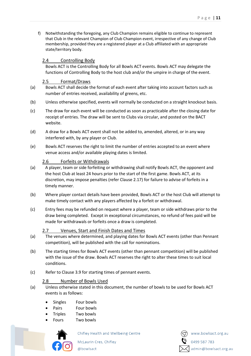f) Notwithstanding the foregoing, any Club Champion remains eligible to continue to represent that Club in the relevant Champion of Club Champion event, irrespective of any change of Club membership, provided they are a registered player at a Club affiliated with an appropriate state/territory body.

# <span id="page-11-0"></span>2.4 Controlling Body

Bowls ACT is the Controlling Body for all Bowls ACT events. Bowls ACT may delegate the functions of Controlling Body to the host club and/or the umpire in charge of the event.

# 2.5 Format/Draws

- <span id="page-11-1"></span>(a) Bowls ACT shall decide the format of each event after taking into account factors such as number of entries received, availability of greens, etc.
- (b) Unless otherwise specified, events will normally be conducted on a straight knockout basis.
- (c) The draw for each event will be conducted as soon as practicable after the closing date for receipt of entries. The draw will be sent to Clubs via circular, and posted on the BACT website.
- (d) A draw for a Bowls ACT event shall not be added to, amended, altered, or in any way interfered with, by any player or Club.
- (e) Bowls ACT reserves the right to limit the number of entries accepted to an event where venue access and/or available playing dates is limited.

# 2.6 Forfeits or Withdrawals

- <span id="page-11-2"></span>(a) A player, team or side forfeiting or withdrawing shall notify Bowls ACT, the opponent and the host Club at least 24 hours prior to the start of the first game. Bowls ACT, at its discretion, may impose penalties (refer Clause 2.17) for failure to advise of forfeits in a timely manner.
- (b) Where player contact details have been provided, Bowls ACT or the host Club will attempt to make timely contact with any players affected by a forfeit or withdrawal.
- (c) Entry fees may be refunded on request where a player, team or side withdraws prior to the draw being completed. Except in exceptional circumstances, no refund of fees paid will be made for withdrawals or forfeits once a draw is completed.

# 2.7 Venues, Start and Finish Dates and Times

- <span id="page-11-3"></span>(a) The venues where determined, and playing dates for Bowls ACT events (other than Pennant competition), will be published with the call for nominations.
- (b) The starting times for Bowls ACT events (other than pennant competition) will be published with the issue of the draw. Bowls ACT reserves the right to alter these times to suit local conditions.
- (c) Refer to Clause 3.9 for starting times of pennant events.

# 2.8 Number of Bowls Used

- <span id="page-11-4"></span>(a) Unless otherwise stated in this document, the number of bowls to be used for Bowls ACT events is as follows:
	- Singles Four bowls
	- Pairs Four bowls
	- Triples Two bowls
	- Fours Two bowls

![](_page_11_Picture_23.jpeg)

Chifley Health and Wellbeing Centre

McLaurin Cres, Chifley

@bowlsact

![](_page_11_Picture_28.jpeg)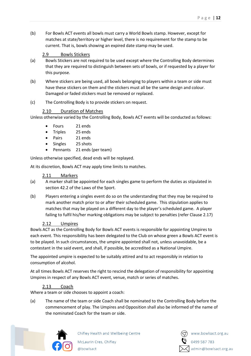(b) For Bowls ACT events all bowls must carry a World Bowls stamp. However, except for matches at state/territory or higher level, there is no requirement for the stamp to be current. That is, bowls showing an expired date stamp may be used.

# 2.9 Bowls Stickers

- <span id="page-12-0"></span>(a) Bowls Stickers are not required to be used except where the Controlling Body determines that they are required to distinguish between sets of bowls, or if requested by a player for this purpose.
- (b) Where stickers are being used, all bowls belonging to players within a team or side must have these stickers on them and the stickers must all be the same design and colour. Damaged or faded stickers must be removed or replaced.
- (c) The Controlling Body is to provide stickers on request.

# 2.10 Duration of Matches

<span id="page-12-1"></span>Unless otherwise varied by the Controlling Body, Bowls ACT events will be conducted as follows:

- Fours 21 ends
- Triples 25 ends
- Pairs 21 ends
- Singles 25 shots
- Pennants 21 ends (per team)

Unless otherwise specified, dead ends will be replayed.

At its discretion, Bowls ACT may apply time limits to matches.

#### 2.11 Markers

- <span id="page-12-2"></span>(a) A marker shall be appointed for each singles game to perform the duties as stipulated in section 42.2 of the Laws of the Sport.
- (b) Players entering a singles event do so on the understanding that they may be required to mark another match prior to or after their scheduled game. This stipulation applies to matches that may be played on a different day to the player's scheduled game. A player failing to fulfil his/her marking obligations may be subject to penalties (refer Clause 2.17)

# 2.12 Umpires

<span id="page-12-3"></span>Bowls ACT as the Controlling Body for Bowls ACT events is responsible for appointing Umpires to each event. This responsibility has been delegated to the Club on whose green a Bowls ACT event is to be played. In such circumstances, the umpire appointed shall not, unless unavoidable, be a contestant in the said event, and shall, if possible, be accredited as a National Umpire.

The appointed umpire is expected to be suitably attired and to act responsibly in relation to consumption of alcohol.

At all times Bowls ACT reserves the right to rescind the delegation of responsibility for appointing Umpires in respect of any Bowls ACT event, venue, match or series of matches.

# 2.13 Coach

<span id="page-12-4"></span>Where a team or side chooses to appoint a coach:

(a) The name of the team or side Coach shall be nominated to the Controlling Body before the commencement of play. The Umpires and Opposition shall also be informed of the name of the nominated Coach for the team or side.

![](_page_12_Picture_25.jpeg)

![](_page_12_Picture_27.jpeg)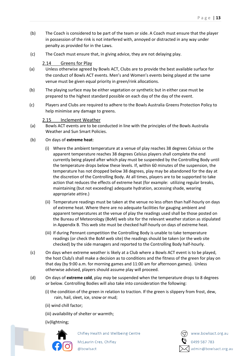- (b) The Coach is considered to be part of the team or side. A Coach must ensure that the player in possession of the rink is not interfered with, annoyed or distracted in any way under penalty as provided for in the Laws.
- (c) The Coach must ensure that, in giving advice, they are not delaying play.

#### 2.14 Greens for Play

- <span id="page-13-0"></span>(a) Unless otherwise agreed by Bowls ACT, Clubs are to provide the best available surface for the conduct of Bowls ACT events. Men's and Women's events being played at the same venue must be given equal priority in green/rink allocations.
- (b) The playing surface may be either vegetation or synthetic but in either case must be prepared to the highest standard possible on each day of the day of the event.
- (c) Players and Clubs are required to adhere to the Bowls Australia Greens Protection Policy to help minimise any damage to greens.

#### 2.15 Inclement Weather

- <span id="page-13-1"></span>(a) Bowls ACT events are to be conducted in line with the principles of the Bowls Australia Weather and Sun Smart Policies.
- (b) On days of **extreme heat**:
	- (i) Where the ambient temperature at a venue of play reaches 38 degrees Celsius or the apparent temperature reaches 38 degrees Celsius players shall complete the end currently being played after which play must be suspended by the Controlling Body until the temperature drops below these levels. If, within 60 minutes of the suspension, the temperature has not dropped below 38 degrees, play may be abandoned for the day at the discretion of the Controlling Body. At all times, players are to be supported to take action that reduces the effects of extreme heat (for example: utilizing regular breaks, maintaining (but not exceeding) adequate hydration, accessing shade, wearing appropriate attire.)
	- (ii) Temperature readings must be taken at the venue no less often than half-hourly on days of extreme heat. Where there are no adequate facilities for gauging ambient and apparent temperatures at the venue of play the readings used shall be those posted on the Bureau of Meteorology (BoM) web site for the relevant weather station as stipulated in Appendix B. This web site must be checked half-hourly on days of extreme heat.
	- (iii) If during Pennant competition the Controlling Body is unable to take temperature readings (or check the BoM web site) the readings should be taken (or the web site checked) by the side managers and reported to the Controlling Body half-hourly.
- (c) On days when extreme weather is likely at a Club where a Bowls ACT event is to be played, the host Club/s shall make a decision as to conditions and the fitness of the green for play on that day (by 9:00 a.m. for morning games and 11:00 am for afternoon games). Unless otherwise advised, players should assume play will proceed.
- (d) On days of **extreme cold**, play *may* be suspended when the temperature drops to 8 degrees or below. Controlling Bodies will also take into consideration the following:
	- (i) the condition of the green in relation to traction. If the green is slippery from frost, dew, rain, hail, sleet, ice, snow or mud;
	- (ii) wind chill factor;
	- (iii) availability of shelter or warmth;
	- (iv)lightning;

![](_page_13_Picture_19.jpeg)

Chifley Health and Wellbeing Centre

![](_page_13_Picture_22.jpeg)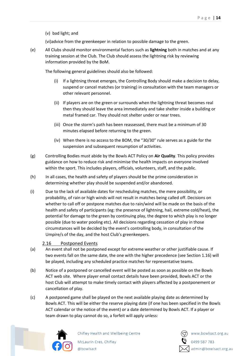(v) bad light; and

(vi)advice from the greenkeeper in relation to possible damage to the green.

(e) All Clubs should monitor environmental factors such as **lightning** both in matches and at any training session at the Club. The Club should assess the lightning risk by reviewing information provided by the BoM.

The following general guidelines should also be followed:

- (i) If a lightning threat emerges, the Controlling Body should make a decision to delay, suspend or cancel matches (or training) in consultation with the team managers or other relevant personnel.
- (ii) If players are on the green or surrounds when the lightning threat becomes real then they should leave the area immediately and take shelter inside a building or metal framed car. They should not shelter under or near trees.
- (iii) Once the storm's path has been reassessed, there must be a minimum of 30 minutes elapsed before returning to the green.
- (iv) When there is no access to the BOM, the "30/30" rule serves as a guide for the suspension and subsequent resumption of activities.
- (g) Controlling Bodies must abide by the Bowls ACT Policy on **Air Quality**. This policy provides guidance on how to reduce risk and minimise the health impacts on everyone involved within the sport. This includes players, officials, volunteers, staff, and the public.
- (h) In all cases, the health and safety of players should be the prime consideration in determining whether play should be suspended and/or abandoned.
- (i) Due to the lack of available dates for rescheduling matches, the mere possibility, or probability, of rain or high winds will not result in matches being called off. Decisions on whether to call off or postpone matches due to rain/wind will be made on the basis of the health and safety of participants (eg: the presence of lightning, hail, extreme cold/heat), the potential for damage to the green by continuing play, the degree to which play is no longer possible (due to water pooling etc). All decisions regarding cessation of play in those circumstances will be decided by the event's controlling body, in consultation of the Umpire/s of the day, and the host Club's greenkeepers.

# 2.16 Postponed Events

- <span id="page-14-0"></span>(a) An event shall not be postponed except for extreme weather or other justifiable cause. If two events fall on the same date, the one with the higher precedence (see Section 1.16) will be played, including any scheduled practice matches for representative teams.
- (b) Notice of a postponed or cancelled event will be posted as soon as possible on the Bowls ACT web site. Where player email contact details have been provided, Bowls ACT or the host Club will attempt to make timely contact with players affected by a postponement or cancellation of play.
- (c) A postponed game shall be played on the next available playing date as determined by Bowls ACT. This will be either the reserve playing date (if one has been specified in the Bowls ACT calendar or the notice of the event) or a date determined by Bowls ACT. If a player or team drawn to play cannot do so, a forfeit will apply unless:

![](_page_14_Picture_16.jpeg)

![](_page_14_Picture_18.jpeg)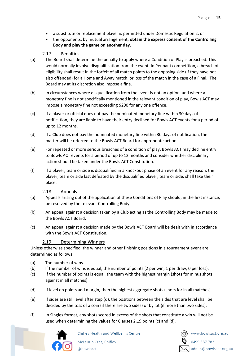- a substitute or replacement player is permitted under Domestic Regulation 2, or
- the opponents, by mutual arrangement, **obtain the express consent of the Controlling Body and play the game on another day.**

# 2.17 Penalties

- <span id="page-15-0"></span>(a) The Board shall determine the penalty to apply where a Condition of Play is breached. This would normally involve disqualification from the event. In Pennant competition, a breach of eligibility shall result in the forfeit of all match points to the opposing side (if they have not also offended) for a Home and Away match, or loss of the match in the case of a Final. The Board may at its discretion also impose a fine.
- (b) In circumstances where disqualification from the event is not an option, and where a monetary fine is not specifically mentioned in the relevant condition of play, Bowls ACT may impose a monetary fine not exceeding \$200 for any one offence.
- (c) If a player or official does not pay the nominated monetary fine within 30 days of notification, they are liable to have their entry declined for Bowls ACT events for a period of up to 12 months.
- (d) If a Club does not pay the nominated monetary fine within 30 days of notification, the matter will be referred to the Bowls ACT Board for appropriate action.
- (e) For repeated or more serious breaches of a condition of play, Bowls ACT may decline entry to Bowls ACT events for a period of up to 12 months and consider whether disciplinary action should be taken under the Bowls ACT Constitution.
- (f) If a player, team or side is disqualified in a knockout phase of an event for any reason, the player, team or side last defeated by the disqualified player, team or side, shall take their place.

# 2.18 Appeals

- <span id="page-15-1"></span>(a) Appeals arising out of the application of these Conditions of Play should, in the first instance, be resolved by the relevant Controlling Body.
- (b) An appeal against a decision taken by a Club acting as the Controlling Body may be made to the Bowls ACT Board.
- (c) An appeal against a decision made by the Bowls ACT Board will be dealt with in accordance with the Bowls ACT Constitution.

# 2.19 Determining Winners

<span id="page-15-2"></span>Unless otherwise specified, the winner and other finishing positions in a tournament event are determined as follows:

- (a) The number of wins.
- (b) If the number of wins is equal, the number of points (2 per win, 1 per draw, 0 per loss).
- (c) If the number of points is equal, the team with the highest margin (shots for minus shots against in all matches).
- (d) If level on points and margin, then the highest aggregate shots (shots for in all matches).
- (e) If sides are still level after step (d), the positions between the sides that are level shall be decided by the toss of a coin (if there are two sides) or by lot (if more than two sides).
- (f) In Singles format, any shots scored in excess of the shots that constitute a win will not be used when determining the values for Clauses 2.19 points (c) and (d).

![](_page_15_Picture_22.jpeg)

Chifley Health and Wellbeing Centre McLaurin Cres, Chifley

@bowlsact

![](_page_15_Picture_25.jpeg)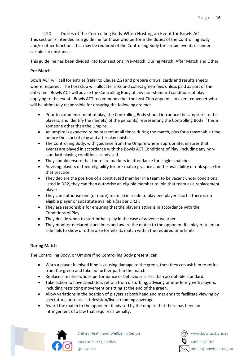# <span id="page-16-0"></span>2.20 Duties of the Controlling Body When Hosting an Event for Bowls ACT This section is intended as a guideline for those who perform the duties of the Controlling Body and/or other functions that may be required of the Controlling Body for certain events or under

# certain circumstances.

This guideline has been divided into four sections; Pre-Match, During Match, After Match and Other.

# **Pre-Match**

Bowls ACT will call for entries (refer to Clause 2.2) and prepare draws, cards and results sheets where required. The host club will allocate rinks and collect green fees unless paid as part of the entry fee. Bowls ACT will advise the Controlling Body of any non-standard conditions of play applying to the event. Bowls ACT recommends that the host Club appoints an event convener who will be ultimately responsible for ensuring the following are met.

- Prior to commencement of play, the Controlling Body should introduce the Umpire/s to the players, and identify the name(s) of the person(s) representing the Controlling Body if this is someone other than the Umpire.
- An umpire is expected to be present at all times during the match, plus for a reasonable time before the start of play and after play finishes.
- The Controlling Body, with guidance from the Umpire where appropriate, ensures that events are played in accordance with the Bowls ACT Conditions of Play, including any nonstandard playing conditions as advised.
- They should ensure that there are markers in attendance for singles matches.
- Advising players of their eligibility for pre-match practice and the availability of rink space for that practice.
- They declare the position of a constituted member in a team to be vacant under conditions listed in DR2, they can then authorise an eligible member to join that team as a replacement player.
- They can authorise one (or more) team (s) in a side to play one player short if there is no eligible player or substitute available (as per DR2).
- They are responsible for ensuring that the player's attire is in accordance with the Conditions of Play
- They decide when to start or halt play in the case of adverse weather.
- They monitor declared start times and award the match to the opponent if a player, team or side fails to show or otherwise forfeits its match within the required time limits.

# **During Match**

The Controlling Body, or Umpire if no Controlling Body present, can:

- Warn a player involved if he is causing damage to the green, then they can ask him to retire from the green and take no further part in the match.
- Replace a marker whose performance or behaviour is less than acceptable standard.
- Take action to have spectators refrain from disturbing, advising or interfering with players, including restricting movement or sitting at the end of the green.
- Allow variations in the position of players at both head and mat ends to facilitate viewing by spectators, or to assist television/live streaming coverage.
- Award the match to the opponent if advised by the umpire that there has been an infringement of a law that requires a penalty.

![](_page_16_Picture_23.jpeg)

Chifley Health and Wellbeing Centre

![](_page_16_Picture_26.jpeg)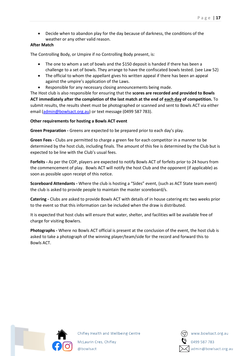• Decide when to abandon play for the day because of darkness, the conditions of the weather or any other valid reason.

#### **After Match**

The Controlling Body, or Umpire if no Controlling Body present, is:

- The one to whom a set of bowls and the \$150 deposit is handed if there has been a challenge to a set of bowls. They arrange to have the confiscated bowls tested. (see Law 52)
- The official to whom the appellant gives his written appeal if there has been an appeal against the umpire's application of the Laws.
- Responsible for any necessary closing announcements being made.

The Host club is also responsible for ensuring that the **scores are recorded and provided to Bowls ACT immediately after the completion of the last match at the end of each day of competition.** To submit results, the results sheet must be photographed or scanned and sent to Bowls ACT via either email [\(admin@bowlsact.org.au\)](mailto:admin@bowlsact.org.au) or text message (0499 587 783).

#### **Other requirements for hosting a Bowls ACT event**

**Green Preparation -** Greens are expected to be prepared prior to each day's play.

**Green Fees -** Clubs are permitted to charge a green fee for each competitor in a manner to be determined by the host club, including finals. The amount of this fee is determined by the Club but is expected to be line with the Club's usual fees.

**Forfeits -** As per the COP, players are expected to notify Bowls ACT of forfeits prior to 24 hours from the commencement of play. Bowls ACT will notify the host Club and the opponent (if applicable) as soon as possible upon receipt of this notice.

**Scoreboard Attendants -** Where the club is hosting a "Sides" event, (such as ACT State team event) the club is asked to provide people to maintain the master scoreboard/s.

**Catering -** Clubs are asked to provide Bowls ACT with details of in house catering etc two weeks prior to the event so that this information can be included when the draw is distributed.

It is expected that host clubs will ensure that water, shelter, and facilities will be available free of charge for visiting Bowlers.

**Photographs -** Where no Bowls ACT official is present at the conclusion of the event, the host club is asked to take a photograph of the winning player/team/side for the record and forward this to Bowls ACT.

![](_page_17_Picture_16.jpeg)

![](_page_17_Picture_18.jpeg)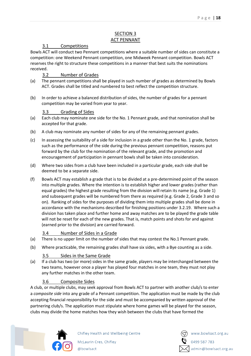# SECTION 3 ACT PENNANT

# <span id="page-18-0"></span>3.1 Competitions

<span id="page-18-2"></span><span id="page-18-1"></span>Bowls ACT will conduct two Pennant competitions where a suitable number of sides can constitute a competition: one Weekend Pennant competition, one Midweek Pennant competition. Bowls ACT reserves the right to structure these competitions in a manner that best suits the nominations received.

# 3.2 Number of Grades

- <span id="page-18-3"></span>(a) The pennant competitions shall be played in such number of grades as determined by Bowls ACT. Grades shall be titled and numbered to best reflect the competition structure.
- (b) In order to achieve a balanced distribution of sides, the number of grades for a pennant competition may be varied from year to year.

# 3.3 Grading of Sides

- <span id="page-18-4"></span>(a) Each club may nominate one side for the No. 1 Pennant grade, and that nomination shall be accepted for that grade.
- (b) A club may nominate any number of sides for any of the remaining pennant grades.
- (c) In assessing the suitability of a side for inclusion in a grade other than the No. 1 grade, factors such as the performance of the side during the previous pennant competition, reasons put forward by the club for the nomination of the relevant grade, and the promotion and encouragement of participation in pennant bowls shall be taken into consideration.
- (d) Where two sides from a club have been included in a particular grade, each side shall be deemed to be a separate side.
- (f) Bowls ACT may establish a grade that is to be divided at a pre-determined point of the season into multiple grades. Where the intention is to establish higher and lower grades (rather than equal grades) the highest grade resulting from the division will retain its name (e.g. Grade 1) and subsequent grades will be numbered from there as required (e.g. Grade 2, Grade 3 and so on). Ranking of sides for the purposes of dividing them into multiple grades shall be done in accordance with the mechanisms described for finishing positions under 3.2.19. Where such a division has taken place and further home and away matches are to be played the grade table will not be reset for each of the new grades. That is, match points and shots for and against (earned prior to the division) are carried forward.

# 3.4 Number of Sides in a Grade

- <span id="page-18-5"></span>(a) There is no upper limit on the number of sides that may contest the No.1 Pennant grade.
- (b) Where practicable, the remaining grades shall have six sides, with a Bye counting as a side.

# 3.5 Sides in the Same Grade

<span id="page-18-6"></span>(a) If a club has two (or more) sides in the same grade, players may be interchanged between the two teams, however once a player has played four matches in one team, they must not play any further matches in the other team.

# 3.6 Composite Sides

<span id="page-18-7"></span>A club, or multiple clubs, may seek approval from Bowls ACT to partner with another club/s to enter a *composite side* into any grade of a Pennant competition. The application must be made by the club accepting financial responsibility for the side and must be accompanied by written approval of the partnering club/s. The application must stipulate where home games will be played for the season, clubs may divide the home matches how they wish between the clubs that have formed the

![](_page_18_Picture_20.jpeg)

![](_page_18_Picture_22.jpeg)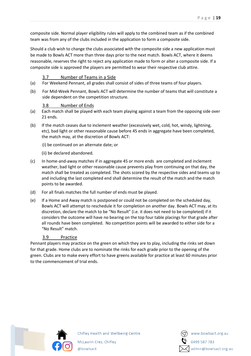composite side. Normal player eligibility rules will apply to the combined team as if the combined team was from any of the clubs included in the application to form a composite side.

Should a club wish to change the clubs associated with the composite side a new application must be made to Bowls ACT more than three days prior to the next match. Bowls ACT, where it deems reasonable, reserves the right to reject any application made to form or alter a composite side. If a composite side is approved the players are permitted to wear their respective club attire.

#### 3.7 Number of Teams in a Side

- <span id="page-19-0"></span>(a) For Weekend Pennant, all grades shall consist of sides of three teams of four players.
- (b) For Mid-Week Pennant, Bowls ACT will determine the number of teams that will constitute a side dependent on the competition structure.

#### 3.8 Number of Ends

- <span id="page-19-1"></span>(a) Each match shall be played with each team playing against a team from the opposing side over 21 ends.
- (b) If the match ceases due to inclement weather (excessively wet, cold, hot, windy, lightning, etc), bad light or other reasonable cause before 45 ends in aggregate have been completed, the match may, at the discretion of Bowls ACT:

(i) be continued on an alternate date; or

- (ii) be declared abandoned.
- (c) In home-and-away matches if in aggregate 45 or more ends are completed and inclement weather, bad light or other reasonable cause prevents play from continuing on that day, the match shall be treated as completed. The shots scored by the respective sides and teams up to and including the last completed end shall determine the result of the match and the match points to be awarded.
- (d) For all finals matches the full number of ends must be played.
- (e) If a Home and Away match is postponed or could not be completed on the scheduled day, Bowls ACT will attempt to reschedule it for completion on another day. Bowls ACT may, at its discretion, declare the match to be "No Result" (i.e. it does not need to be completed) if it considers the outcome will have no bearing on the top four table placings for that grade after all rounds have been completed. No competition points will be awarded to either side for a "No Result" match.

#### 3.9 Practice

<span id="page-19-2"></span>Pennant players may practice on the green on which they are to play, including the rinks set down for that grade. Home clubs are to nominate the rinks for each grade prior to the opening of the green. Clubs are to make every effort to have greens available for practice at least 60 minutes prior to the commencement of trial ends.

![](_page_19_Picture_16.jpeg)

![](_page_19_Picture_18.jpeg)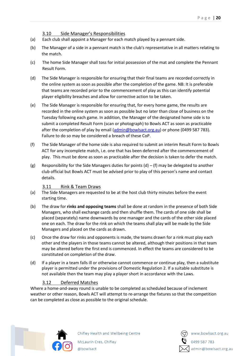3.10 Side Manager's Responsibilities

- <span id="page-20-0"></span>(a) Each club shall appoint a Manager for each match played by a pennant side.
- (b) The Manager of a side in a pennant match is the club's representative in all matters relating to the match.
- (c) The home Side Manager shall toss for initial possession of the mat and complete the Pennant Result Form.
- (d) The Side Manager is responsible for ensuring that their final teams are recorded correctly in the online system as soon as possible after the completion of the game. NB: It is preferable that teams are recorded prior to the commencement of play as this can identify potential player eligibility breaches and allow for corrective action to be taken.
- (e) The Side Manager is responsible for ensuring that, for every home game, the results are recorded in the online system as soon as possible but no later than close of business on the Tuesday following each game. In addition, the Manager of the designated home side is to submit a completed Result Form (scan or photograph) to Bowls ACT as soon as practicable after the completion of play by email [\(admin@bowlsact.org.au\)](mailto:admin@bowlsact.org.au) or phone (0499 587 783). Failure to do so may be considered a breach of these CoP.
- (f) The Side Manager of the home side is also required to submit an interim Result Form to Bowls ACT for any incomplete match, i.e. one that has been deferred after the commencement of play. This must be done as soon as practicable after the decision is taken to defer the match.
- (g) Responsibility for the Side Managers duties for points  $(d) (f)$  may be delegated to another club official but Bowls ACT must be advised prior to play of this person's name and contact details.

# 3.11 Rink & Team Draws

- <span id="page-20-1"></span>(a) The Side Managers are requested to be at the host club thirty minutes before the event starting time.
- (b) The draw for **rinks and opposing teams** shall be done at random in the presence of both Side Managers, who shall exchange cards and then shuffle them. The cards of one side shall be placed (separately) name downwards by one manager and the cards of the other side placed one on each. The draw for the rink on which the teams shall play will be made by the Side Managers and placed on the cards as drawn.
- (c) Once the draw for rinks and opponents is made, the teams drawn for a rink must play each other and the players in those teams cannot be altered, although their positions in that team may be altered before the first end is commenced. In effect the teams are considered to be constituted on completion of the draw.
- (d) If a player in a team falls ill or otherwise cannot commence or continue play, then a substitute player is permitted under the provisions of Domestic Regulation 2. If a suitable substitute is not available then the team may play a player short in accordance with the Laws.

# 3.12 Deferred Matches

<span id="page-20-2"></span>Where a home-and-away round is unable to be completed as scheduled because of inclement weather or other reason, Bowls ACT will attempt to re-arrange the fixtures so that the competition can be completed as close as possible to the original schedule.

![](_page_20_Picture_16.jpeg)

Chifley Health and Wellbeing Centre McLaurin Cres, Chifley

@bowlsact

![](_page_20_Picture_19.jpeg)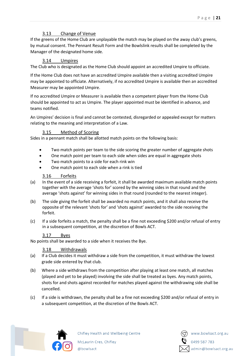# 3.13 Change of Venue

<span id="page-21-0"></span>If the greens of the Home Club are unplayable the match may be played on the away club's greens, by mutual consent. The Pennant Result Form and the Bowlslink results shall be completed by the Manager of the designated home side.

# 3.14 Umpires

<span id="page-21-1"></span>The Club who is designated as the Home Club should appoint an accredited Umpire to officiate.

If the Home Club does not have an accredited Umpire available then a visiting accredited Umpire may be appointed to officiate. Alternatively, if no accredited Umpire is available then an accredited Measurer may be appointed Umpire.

If no accredited Umpire or Measurer is available then a competent player from the Home Club should be appointed to act as Umpire. The player appointed must be identified in advance, and teams notified.

An Umpires' decision is final and cannot be contested, disregarded or appealed except for matters relating to the meaning and interpretation of a Law.

# 3.15 Method of Scoring

<span id="page-21-2"></span>Sides in a pennant match shall be allotted match points on the following basis:

- Two match points per team to the side scoring the greater number of aggregate shots
- One match point per team to each side when sides are equal in aggregate shots
- Two match points to a side for each rink win
- One match point to each side when a rink is tied

#### 3.16 Forfeits

- <span id="page-21-3"></span>(a) In the event of a side receiving a forfeit, it shall be awarded maximum available match points together with the average 'shots for' scored by the winning sides in that round and the average 'shots against' for winning sides in that round (rounded to the nearest integer).
- (b) The side giving the forfeit shall be awarded no match points, and it shall also receive the opposite of the relevant 'shots for' and 'shots against' awarded to the side receiving the forfeit.
- (c) If a side forfeits a match, the penalty shall be a fine not exceeding \$200 and/or refusal of entry in a subsequent competition, at the discretion of Bowls ACT.

# 3.17 Byes

<span id="page-21-4"></span>No points shall be awarded to a side when it receives the Bye.

#### 3.18 Withdrawals

- <span id="page-21-5"></span>(a) If a Club decides it must withdraw a side from the competition, it must withdraw the lowest grade side entered by that club.
- (b) Where a side withdraws from the competition after playing at least one match, all matches (played and yet to be played) involving the side shall be treated as byes. Any match points, shots for and shots against recorded for matches played against the withdrawing side shall be cancelled.
- (c) If a side is withdrawn, the penalty shall be a fine not exceeding \$200 and/or refusal of entry in a subsequent competition, at the discretion of the Bowls ACT.

![](_page_21_Picture_24.jpeg)

Chifley Health and Wellbeing Centre McLaurin Cres, Chifley

@bowlsact

![](_page_21_Picture_27.jpeg)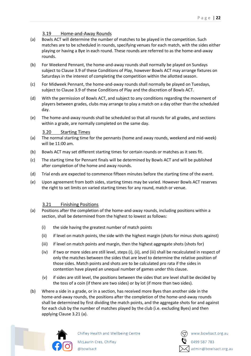# 3.19 Home-and-Away Rounds

- <span id="page-22-0"></span>(a) Bowls ACT will determine the number of matches to be played in the competition. Such matches are to be scheduled in rounds, specifying venues for each match, with the sides either playing or having a Bye in each round. These rounds are referred to as the home-and-away rounds.
- (b) For Weekend Pennant, the home-and-away rounds shall normally be played on Sundays subject to Clause 3.9 of these Conditions of Play, however Bowls ACT may arrange fixtures on Saturdays in the interest of completing the competition within the allotted season.
- (c) For Midweek Pennant, the home-and-away rounds shall normally be played on Tuesdays, subject to Clause 3.9 of these Conditions of Play and the discretion of Bowls ACT.
- (d) With the permission of Bowls ACT, and subject to any conditions regarding the movement of players between grades, clubs may arrange to play a match on a day other than the scheduled day.
- (e) The home-and-away rounds shall be scheduled so that all rounds for all grades, and sections within a grade, are normally completed on the same day.

#### 3.20 Starting Times

- <span id="page-22-1"></span>(a) The normal starting time for the pennants (home and away rounds, weekend and mid-week) will be 11:00 am.
- (b) Bowls ACT may set different starting times for certain rounds or matches as it sees fit.
- (c) The starting time for Pennant finals will be determined by Bowls ACT and will be published after completion of the home and away rounds.
- (d) Trial ends are expected to commence fifteen minutes before the starting time of the event.
- (e) Upon agreement from both sides, starting times may be varied. However Bowls ACT reserves the right to set limits on varied starting times for any round, match or venue.

# 3.21 Finishing Positions

- <span id="page-22-2"></span>(a) Positions after the completion of the home-and-away rounds, including positions within a section, shall be determined from the highest to lowest as follows:
	- (i) the side having the greatest number of match points
	- (ii) if level on match points, the side with the highest margin (shots for minus shots against)
	- (iii) if level on match points and margin, then the highest aggregate shots (shots for)
	- (iv) if two or more sides are still level, steps (i), (ii), and (iii) shall be recalculated in respect of only the matches between the sides that are level to determine the relative position of those sides. Match points and shots are to be calculated pro rata if the sides in contention have played an unequal number of games under this clause.
	- (v) if sides are still level, the positions between the sides that are level shall be decided by the toss of a coin (if there are two sides) or by lot (if more than two sides).
- (b) Where a side in a grade, or in a section, has received more Byes than another side in the home-and-away rounds, the positions after the completion of the home-and-away rounds shall be determined by first dividing the match points, and the aggregate shots for and against for each club by the number of matches played by the club (i.e. excluding Byes) and then applying Clause 3.21 (a).

![](_page_22_Picture_21.jpeg)

![](_page_22_Picture_23.jpeg)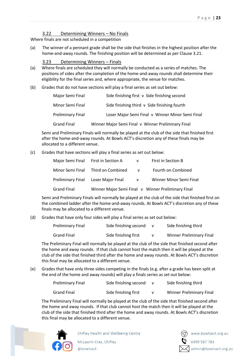#### 3.22 Determining Winners – No Finals

<span id="page-23-0"></span>Where finals are not scheduled in a competition

(a) The winner of a pennant grade shall be the side that finishes in the highest position after the home-and-away rounds. The finishing position will be determined as per Clause 3.21.

#### 3.23 Determining Winners – Finals

- <span id="page-23-1"></span>(a) Where finals are scheduled they will normally be conducted as a series of matches. The positions of sides after the completion of the home-and-away rounds shall determine their eligibility for the final series and, where appropriate, the venue for matches.
- (b) Grades that do not have sections will play a final series as set out below:

| Major Semi Final         | Side finishing first v Side finishing second       |
|--------------------------|----------------------------------------------------|
| Minor Semi Final         | Side finishing third v Side finishing fourth       |
| <b>Preliminary Final</b> | Loser Major Semi Final v Winner Minor Semi Final   |
| <b>Grand Final</b>       | Winner Major Semi Final v Winner Preliminary Final |

Semi and Preliminary Finals will normally be played at the club of the side that finished first after the home-and-away rounds. At Bowls ACT's discretion any of these finals may be allocated to a different venue.

(c) Grades that have sections will play a final series as set out below:

|             | Major Semi Final First in Section A | V            | First in Section B                                 |
|-------------|-------------------------------------|--------------|----------------------------------------------------|
|             | Minor Semi Final Third on Combined  | $\mathsf{V}$ | Fourth on Combined                                 |
|             | Preliminary Final Loser Major Final | V            | Winner Minor Semi Final                            |
| Grand Final |                                     |              | Winner Major Semi Final v Winner Preliminary Final |

Semi and Preliminary Finals will normally be played at the club of the side that finished first on the combined ladder after the home-and-away rounds. At Bowls ACT's discretion any of these finals may be allocated to a different venue.

(d) Grades that have only four sides will play a final series as set out below:

| <b>Preliminary Final</b> | Side finishing second | Side finishing third            |
|--------------------------|-----------------------|---------------------------------|
| <b>Grand Final</b>       | Side finishing first  | <b>Winner Preliminary Final</b> |

The Preliminary Final will normally be played at the club of the side that finished second after the home and away rounds. If that club cannot host the match then it will be played at the club of the side that finished third after the home and away rounds. At Bowls ACT's discretion this final may be allocated to a different venue.

(e) Grades that have only three sides competing in the finals (e.g. after a grade has been split at the end of the home and away rounds) will play a finals series as set out below:

| <b>Preliminary Final</b> | Side finishing second | Side finishing third            |
|--------------------------|-----------------------|---------------------------------|
| Grand Final              | Side finishing first  | <b>Winner Preliminary Final</b> |

The Preliminary Final will normally be played at the club of the side that finished second after the home and away rounds. If that club cannot host the match then it will be played at the club of the side that finished third after the home and away rounds. At Bowls ACT's discretion this final may be allocated to a different venue.

![](_page_23_Picture_18.jpeg)

Chifley Health and Wellbeing Centre

![](_page_23_Picture_21.jpeg)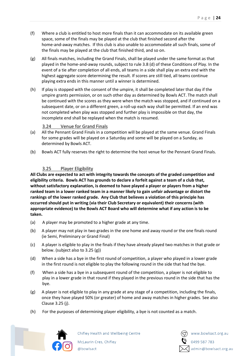- (f) Where a club is entitled to host more finals than it can accommodate on its available green space, some of the finals may be played at the club that finished second after the home-and-away matches. If this club is also unable to accommodate all such finals, some of the finals may be played at the club that finished third, and so on.
- (g) All finals matches, including the Grand Finals, shall be played under the same format as that played in the home-and-away rounds, subject to rule 3.8 (d) of these Conditions of Play. In the event of a tie after completion of all ends, all teams in a side shall play an extra end with the highest aggregate score determining the result. If scores are still tied, all teams continue playing extra ends in this manner until a winner is determined.
- (h) If play is stopped with the consent of the umpire, it shall be completed later that day if the umpire grants permission, or on such other day as determined by Bowls ACT. The match shall be continued with the scores as they were when the match was stopped, and if continued on a subsequent date, or on a different green, a roll-up each way shall be permitted. If an end was not completed when play was stopped and further play is impossible on that day, the incomplete end shall be replayed when the match is resumed.

# 3.24 Venue for Grand Finals

- <span id="page-24-0"></span>(a) All the Pennant Grand Finals in a competition will be played at the same venue. Grand Finals for some grades will be played on a Saturday and some will be played on a Sunday, as determined by Bowls ACT.
- (b) Bowls ACT fully reserves the right to determine the host venue for the Pennant Grand Finals.

# 3.25 Player Eligibility

<span id="page-24-1"></span>**All Clubs are expected to act with integrity towards the concepts of the graded competition and eligibility criteria. Bowls ACT has grounds to declare a forfeit against a team of a club that, without satisfactory explanation, is deemed to have played a player or players from a higher ranked team in a lower ranked team in a manner likely to gain unfair advantage or distort the rankings of the lower ranked grade. Any Club that believes a violation of this principle has occurred should put in writing (via their Club Secretary or equivalent) their concerns (with appropriate evidence) to the Bowls ACT Board who will determine what if any action is to be taken.** 

- (a) A player may be promoted to a higher grade at any time.
- (b) A player may not play in two grades in the one home and away round or the one finals round (ie Semi, Preliminary or Grand Final)
- (c) A player is eligible to play in the finals if they have already played two matches in that grade or below. (subject also to 3.25 (g))
- (d) When a side has a bye in the first round of competition, a player who played in a lower grade in the first round is not eligible to play the following round in the side that had the bye.
- (f) When a side has a bye in a subsequent round of the competition, a player is not eligible to play in a lower grade in that round if they played in the previous round in the side that has the bye.
- (g) A player is not eligible to play in any grade at any stage of a competition, including the finals, once they have played 50% (or greater) of home and away matches in higher grades. See also Clause 3.25 (j).
- (h) For the purposes of determining player eligibility, a bye is not counted as a match.

![](_page_24_Picture_16.jpeg)

Chifley Health and Wellbeing Centre

![](_page_24_Picture_19.jpeg)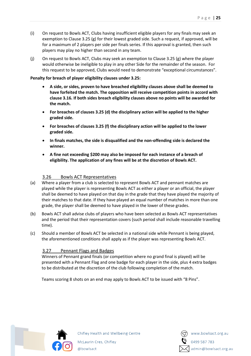- (i) On request to Bowls ACT, Clubs having insufficient eligible players for any finals may seek an exemption to Clause 3.25 (g) for their lowest graded side. Such a request, if approved, will be for a maximum of 2 players per side per finals series. If this approval is granted, then such players may play no higher than second in any team.
- (i) On request to Bowls ACT, Clubs may seek an exemption to Clause 3.25 (g) where the player would otherwise be ineligible to play in any other Side for the remainder of the season. For this request to be approved, Clubs would need to demonstrate "exceptional circumstances".

#### **Penalty for breach of player eligibility clauses under 3.25:**

- **A side, or sides, proven to have breached eligibility clauses above shall be deemed to have forfeited the match. The opposition will receive competition points in accord with clause 3.16. If both sides breach eligibility clauses above no points will be awarded for the match.**
- **For breaches of clauses 3.25 (d) the disciplinary action will be applied to the higher graded side.**
- **For breaches of clauses 3.25 (f) the disciplinary action will be applied to the lower graded side.**
- **In finals matches, the side is disqualified and the non-offending side is declared the winner.**
- **A fine not exceeding \$200 may also be imposed for each instance of a breach of eligibility. The application of any fines will be at the discretion of Bowls ACT.**

# 3.26 Bowls ACT Representatives

- <span id="page-25-0"></span>(a) Where a player from a club is selected to represent Bowls ACT and pennant matches are played while the player is representing Bowls ACT as either a player or an official, the player shall be deemed to have played on that day in the grade that they have played the majority of their matches to that date. If they have played an equal number of matches in more than one grade, the player shall be deemed to have played in the lower of these grades.
- (b) Bowls ACT shall advise clubs of players who have been selected as Bowls ACT representatives and the period that their representation covers (such period shall include reasonable travelling time).
- (c) Should a member of Bowls ACT be selected in a national side while Pennant is being played, the aforementioned conditions shall apply as if the player was representing Bowls ACT.

# <span id="page-25-1"></span>3.27 Pennant Flags and Badges

Winners of Pennant grand finals (or competition where no grand final is played) will be presented with a Pennant Flag and one badge for each player in the side, plus 4 extra badges to be distributed at the discretion of the club following completion of the match.

Teams scoring 8 shots on an end may apply to Bowls ACT to be issued with "8 Pins".

![](_page_25_Picture_16.jpeg)

![](_page_25_Picture_18.jpeg)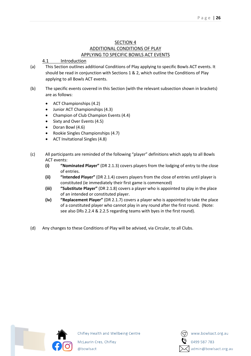# SECTION 4 ADDITIONAL CONDITIONS OF PLAY APPLYING TO SPECIFIC BOWLS ACT EVENTS

# <span id="page-26-1"></span><span id="page-26-0"></span>4.1 Introduction

- <span id="page-26-3"></span><span id="page-26-2"></span>(a) This Section outlines additional Conditions of Play applying to specific Bowls ACT events. It should be read in conjunction with Sections 1 & 2, which outline the Conditions of Play applying to all Bowls ACT events.
- (b) The specific events covered in this Section (with the relevant subsection shown in brackets) are as follows:
	- ACT Championships (4.2)
	- Junior ACT Championships (4.3)
	- Champion of Club Champion Events (4.4)
	- Sixty and Over Events (4.5)
	- Doran Bowl (4.6)
	- Rookie Singles Championships (4.7)
	- ACT Invitational Singles (4.8)
- (c) All participants are reminded of the following "player" definitions which apply to all Bowls ACT events:
	- **(i) "Nominated Player"** (DR 2.1.3) covers players from the lodging of entry to the close of entries.
	- **(ii) "Intended Player"** (DR 2.1.4) covers players from the close of entries until player is constituted (ie immediately their first game is commenced)
	- **(iii) "Substitute Player"** (DR 2.1.8) covers a player who is appointed to play in the place of an intended or constituted player.
	- **(iv) "Replacement Player"** (DR 2.1.7) covers a player who is appointed to take the place of a constituted player who cannot play in any round after the first round. (Note: see also DRs 2.2.4 & 2.2.5 regarding teams with byes in the first round).
- (d) Any changes to these Conditions of Play will be advised, via Circular, to all Clubs.

![](_page_26_Picture_18.jpeg)

![](_page_26_Picture_20.jpeg)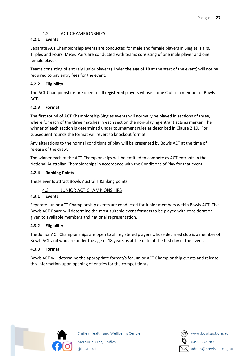# 4.2 ACT CHAMPIONSHIPS

# <span id="page-27-0"></span>**4.2.1 Events**

Separate ACT Championship events are conducted for male and female players in Singles, Pairs, Triples and Fours. Mixed Pairs are conducted with teams consisting of one male player and one female player.

Teams consisting of entirely Junior players (Under the age of 18 at the start of the event) will not be required to pay entry fees for the event.

# **4.2.2 Eligibility**

The ACT Championships are open to all registered players whose home Club is a member of Bowls ACT.

# **4.2.3 Format**

The first round of ACT Championship Singles events will normally be played in sections of three, where for each of the three matches in each section the non-playing entrant acts as marker. The winner of each section is determined under tournament rules as described in Clause 2.19. For subsequent rounds the format will revert to knockout format.

Any alterations to the normal conditions of play will be presented by Bowls ACT at the time of release of the draw.

The winner each of the ACT Championships will be entitled to compete as ACT entrants in the National Australian Championships in accordance with the Conditions of Play for that event.

# **4.2.4 Ranking Points**

These events attract Bowls Australia Ranking points.

# 4.3 JUNIOR ACT CHAMPIONSHIPS

# <span id="page-27-1"></span>**4.3.1 Events**

Separate Junior ACT Championship events are conducted for Junior members within Bowls ACT. The Bowls ACT Board will determine the most suitable event formats to be played with consideration given to available members and national representation.

# **4.3.2 Eligibility**

The Junior ACT Championships are open to all registered players whose declared club is a member of Bowls ACT and who are under the age of 18 years as at the date of the first day of the event.

# **4.3.3 Format**

Bowls ACT will determine the appropriate format/s for Junior ACT Championship events and release this information upon opening of entries for the competition/s

![](_page_27_Picture_20.jpeg)

![](_page_27_Picture_22.jpeg)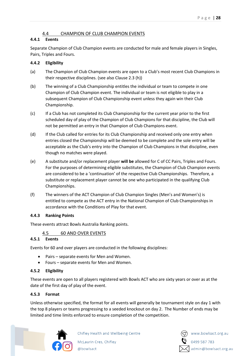# 4.4 CHAMPION OF CLUB CHAMPION EVENTS

#### <span id="page-28-0"></span>**4.4.1 Events**

Separate Champion of Club Champion events are conducted for male and female players in Singles, Pairs, Triples and Fours.

#### **4.4.2 Eligibility**

- (a) The Champion of Club Champion events are open to a Club's most recent Club Champions in their respective disciplines. (see also Clause 2.3 (h))
- (b) The winning of a Club Championship entitles the individual or team to compete in one Champion of Club Champion event. The individual or team is not eligible to play in a subsequent Champion of Club Championship event unless they again win their Club Championship.
- (c) If a Club has not completed its Club Championship for the current year prior to the first scheduled day of play of the Champion of Club Champions for that discipline, the Club will not be permitted an entry in that Champion of Club Champions event.
- (d) If the Club called for entries for its Club Championship and received only one entry when entries closed the Championship will be deemed to be complete and the sole entry will be acceptable as the Club's entry into the Champion of Club Champions in that discipline, even though no matches were played.
- (e) A substitute and/or replacement player **will be** allowed for C of CC Pairs, Triples and Fours. For the purposes of determining eligible substitutes, the Champion of Club Champion events are considered to be a 'continuation' of the respective Club Championships. Therefore, a substitute or replacement player cannot be one who participated in the qualifying Club Championships.
- (f) The winners of the ACT Champion of Club Champion Singles (Men's and Women's) is entitled to compete as the ACT entry in the National Champion of Club Championships in accordance with the Conditions of Play for that event.

#### **4.4.3 Ranking Points**

These events attract Bowls Australia Ranking points.

# 4.5 60 AND OVER EVENTS

#### <span id="page-28-1"></span>**4.5.1 Events**

Events for 60 and over players are conducted in the following disciplines:

- Pairs separate events for Men and Women.
- Fours separate events for Men and Women.

@bowlsact

#### **4.5.2 Eligibility**

These events are open to all players registered with Bowls ACT who are sixty years or over as at the date of the first day of play of the event.

#### **4.5.3 Format**

Unless otherwise specified, the format for all events will generally be tournament style on day 1 with the top 8 players or teams progressing to a seeded knockout on day 2. The Number of ends may be limited and time limits enforced to ensure completion of the competition.

![](_page_28_Picture_22.jpeg)

![](_page_28_Picture_24.jpeg)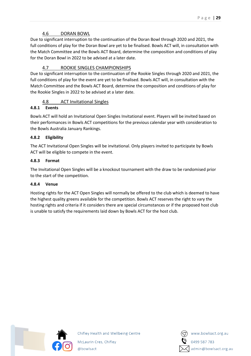# 4.6 DORAN BOWL

<span id="page-29-0"></span>Due to significant interruption to the continuation of the Doran Bowl through 2020 and 2021, the full conditions of play for the Doran Bowl are yet to be finalised. Bowls ACT will, in consultation with the Match Committee and the Bowls ACT Board, determine the composition and conditions of play for the Doran Bowl in 2022 to be advised at a later date.

# 4.7 ROOKIE SINGLES CHAMPIONSHIPS

<span id="page-29-1"></span>Due to significant interruption to the continuation of the Rookie Singles through 2020 and 2021, the full conditions of play for the event are yet to be finalised. Bowls ACT will, in consultation with the Match Committee and the Bowls ACT Board, determine the composition and conditions of play for the Rookie Singles in 2022 to be advised at a later date.

# 4.8 ACT Invitational Singles

# <span id="page-29-2"></span>**4.8.1 Events**

Bowls ACT will hold an Invitational Open Singles Invitational event. Players will be invited based on their performances in Bowls ACT competitions for the previous calendar year with consideration to the Bowls Australia January Rankings.

# **4.8.2 Eligibility**

The ACT Invitational Open Singles will be invitational. Only players invited to participate by Bowls ACT will be eligible to compete in the event.

# **4.8.3 Format**

The Invitational Open Singles will be a knockout tournament with the draw to be randomised prior to the start of the competition.

# **4.8.4 Venue**

Hosting rights for the ACT Open Singles will normally be offered to the club which is deemed to have the highest quality greens available for the competition. Bowls ACT reserves the right to vary the hosting rights and criteria if it considers there are special circumstances or if the proposed host club is unable to satisfy the requirements laid down by Bowls ACT for the host club.

![](_page_29_Picture_14.jpeg)

![](_page_29_Picture_16.jpeg)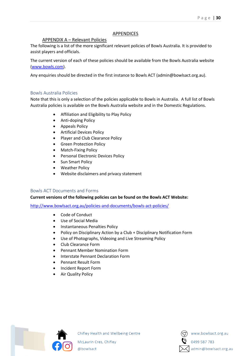#### APPENDICES

#### APPENDIX A – Relevant Policies

<span id="page-30-1"></span><span id="page-30-0"></span>The following is a list of the more significant relevant policies of Bowls Australia. It is provided to assist players and officials.

The current version of each of these policies should be available from the Bowls Australia website [\(www.bowls.com\)](http://www.bowls.com/).

Any enquiries should be directed in the first instance to Bowls ACT (admin@bowlsact.org.au).

#### <span id="page-30-2"></span>Bowls Australia Policies

Note that this is only a selection of the policies applicable to Bowls in Australia. A full list of Bowls Australia policies is available on the Bowls Australia website and in the Domestic Regulations.

- Affiliation and Eligibility to Play Policy
- Anti-doping Policy
- Appeals Policy
- Artificial Devices Policy
- Player and Club Clearance Policy
- Green Protection Policy
- Match-Fixing Policy
- Personal Electronic Devices Policy
- Sun Smart Policy
- Weather Policy
- Website disclaimers and privacy statement

#### <span id="page-30-3"></span>Bowls ACT Documents and Forms

#### **Current versions of the following policies can be found on the Bowls ACT Website:**

<http://www.bowlsact.org.au/policies-and-documents/bowls-act-policies/>

- Code of Conduct
- Use of Social Media
- Instantaneous Penalties Policy
- Policy on Disciplinary Action by a Club + Disciplinary Notification Form
- Use of Photographs, Videoing and Live Streaming Policy
- Club Clearance Form
- Pennant Member Nomination Form
- Interstate Pennant Declaration Form
- Pennant Result Form
- Incident Report Form
- Air Quality Policy

![](_page_30_Picture_33.jpeg)

Chifley Health and Wellbeing Centre

![](_page_30_Picture_36.jpeg)